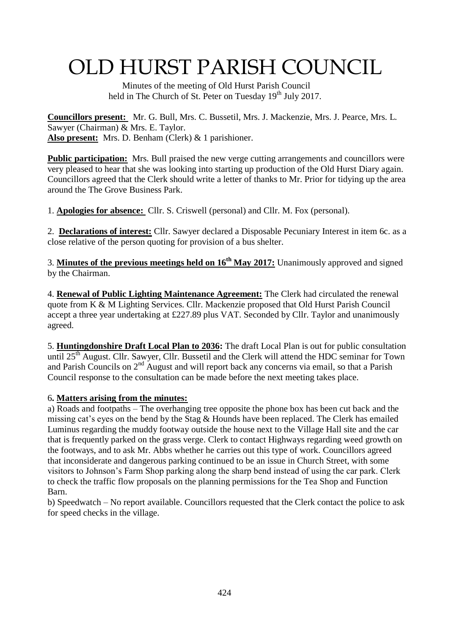# OLD HURST PARISH COUNCIL

 Minutes of the meeting of Old Hurst Parish Council held in The Church of St. Peter on Tuesday  $19<sup>th</sup>$  July 2017.

**Councillors present:** Mr. G. Bull, Mrs. C. Bussetil, Mrs. J. Mackenzie, Mrs. J. Pearce, Mrs. L. Sawyer (Chairman) & Mrs. E. Taylor. **Also present:** Mrs. D. Benham (Clerk) & 1 parishioner.

**Public participation:** Mrs. Bull praised the new verge cutting arrangements and councillors were very pleased to hear that she was looking into starting up production of the Old Hurst Diary again. Councillors agreed that the Clerk should write a letter of thanks to Mr. Prior for tidying up the area around the The Grove Business Park.

1. **Apologies for absence:** Cllr. S. Criswell (personal) and Cllr. M. Fox (personal).

2. **Declarations of interest:** Cllr. Sawyer declared a Disposable Pecuniary Interest in item 6c. as a close relative of the person quoting for provision of a bus shelter.

3. **Minutes of the previous meetings held on 16th May 2017:** Unanimously approved and signed by the Chairman.

4. **Renewal of Public Lighting Maintenance Agreement:** The Clerk had circulated the renewal quote from K & M Lighting Services. Cllr. Mackenzie proposed that Old Hurst Parish Council accept a three year undertaking at £227.89 plus VAT. Seconded by Cllr. Taylor and unanimously agreed.

5. **Huntingdonshire Draft Local Plan to 2036:** The draft Local Plan is out for public consultation until  $25<sup>th</sup>$  August. Cllr. Sawyer, Cllr. Bussetil and the Clerk will attend the HDC seminar for Town and Parish Councils on  $2<sup>nd</sup>$  August and will report back any concerns via email, so that a Parish Council response to the consultation can be made before the next meeting takes place.

### 6**. Matters arising from the minutes:**

a) Roads and footpaths – The overhanging tree opposite the phone box has been cut back and the missing cat's eyes on the bend by the Stag & Hounds have been replaced. The Clerk has emailed Luminus regarding the muddy footway outside the house next to the Village Hall site and the car that is frequently parked on the grass verge. Clerk to contact Highways regarding weed growth on the footways, and to ask Mr. Abbs whether he carries out this type of work. Councillors agreed that inconsiderate and dangerous parking continued to be an issue in Church Street, with some visitors to Johnson's Farm Shop parking along the sharp bend instead of using the car park. Clerk to check the traffic flow proposals on the planning permissions for the Tea Shop and Function Barn.

b) Speedwatch – No report available. Councillors requested that the Clerk contact the police to ask for speed checks in the village.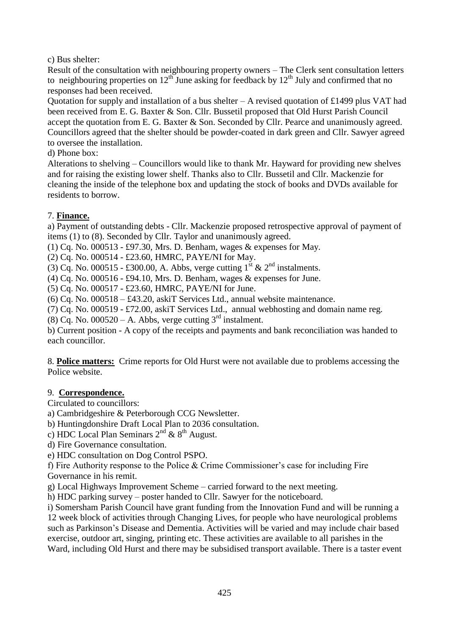c) Bus shelter:

Result of the consultation with neighbouring property owners – The Clerk sent consultation letters to neighbouring properties on  $12^{th}$  June asking for feedback by  $12^{th}$  July and confirmed that no responses had been received.

Quotation for supply and installation of a bus shelter – A revised quotation of £1499 plus VAT had been received from E. G. Baxter & Son. Cllr. Bussetil proposed that Old Hurst Parish Council accept the quotation from E. G. Baxter & Son. Seconded by Cllr. Pearce and unanimously agreed. Councillors agreed that the shelter should be powder-coated in dark green and Cllr. Sawyer agreed to oversee the installation.

d) Phone box:

Alterations to shelving – Councillors would like to thank Mr. Hayward for providing new shelves and for raising the existing lower shelf. Thanks also to Cllr. Bussetil and Cllr. Mackenzie for cleaning the inside of the telephone box and updating the stock of books and DVDs available for residents to borrow.

## 7. **Finance.**

a) Payment of outstanding debts - Cllr. Mackenzie proposed retrospective approval of payment of items (1) to (8). Seconded by Cllr. Taylor and unanimously agreed.

(1) Cq. No. 000513 - £97.30, Mrs. D. Benham, wages & expenses for May.

(2) Cq. No. 000514 - £23.60, HMRC, PAYE/NI for May.

(3) Cq. No. 000515 - £300.00, A. Abbs, verge cutting  $1^{st}$  &  $2^{nd}$  instalments.

(4) Cq. No. 000516 - £94.10, Mrs. D. Benham, wages & expenses for June.

(5) Cq. No. 000517 - £23.60, HMRC, PAYE/NI for June.

(6) Cq. No. 000518 – £43.20, askiT Services Ltd., annual website maintenance.

(7) Cq. No. 000519 - £72.00, askiT Services Ltd., annual webhosting and domain name reg.

(8) Cq. No.  $0.00520 - A$ . Abbs, verge cutting 3<sup>rd</sup> instalment.

b) Current position - A copy of the receipts and payments and bank reconciliation was handed to each councillor.

8. **Police matters:** Crime reports for Old Hurst were not available due to problems accessing the Police website.

### 9. **Correspondence.**

Circulated to councillors:

a) Cambridgeshire & Peterborough CCG Newsletter.

b) Huntingdonshire Draft Local Plan to 2036 consultation.

c) HDC Local Plan Seminars  $2<sup>nd</sup>$  &  $8<sup>th</sup>$  August.

d) Fire Governance consultation.

e) HDC consultation on Dog Control PSPO.

f) Fire Authority response to the Police & Crime Commissioner's case for including Fire Governance in his remit.

g) Local Highways Improvement Scheme – carried forward to the next meeting.

h) HDC parking survey – poster handed to Cllr. Sawyer for the noticeboard.

i) Somersham Parish Council have grant funding from the Innovation Fund and will be running a 12 week block of activities through Changing Lives, for people who have neurological problems such as Parkinson's Disease and Dementia. Activities will be varied and may include chair based exercise, outdoor art, singing, printing etc. These activities are available to all parishes in the Ward, including Old Hurst and there may be subsidised transport available. There is a taster event